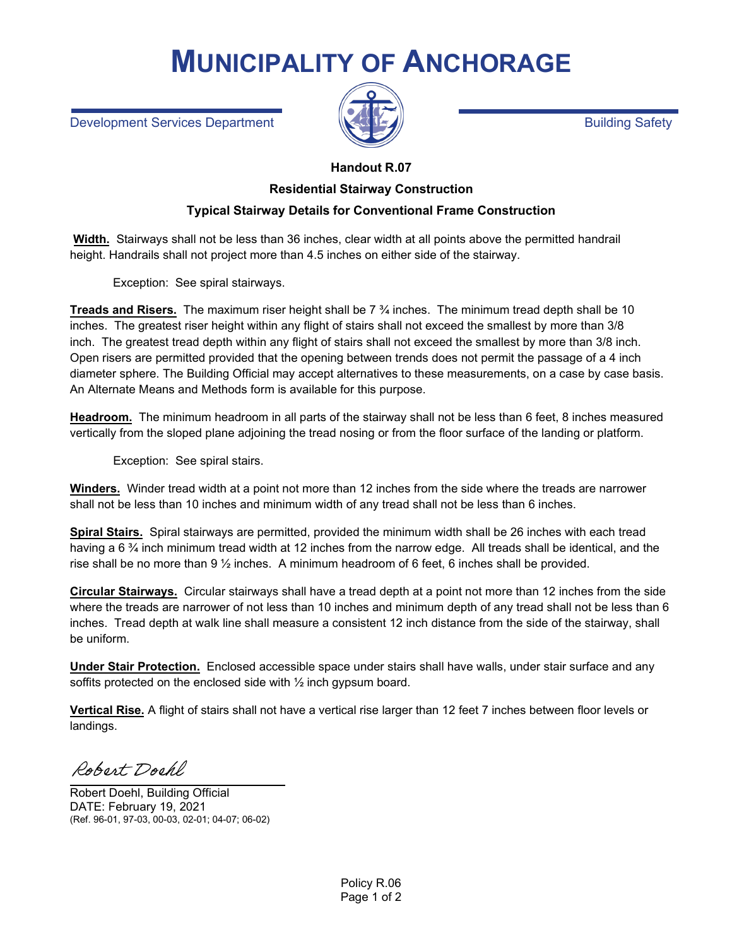## **MUNICIPALITY OF ANCHORAGE**

Development Services Department Building Safety Building Safety



## **Handout R.07**

## **Residential Stairway Construction**

## **Typical Stairway Details for Conventional Frame Construction**

**Width.** Stairways shall not be less than 36 inches, clear width at all points above the permitted handrail height. Handrails shall not project more than 4.5 inches on either side of the stairway.

Exception: See spiral stairways.

**Treads and Risers.** The maximum riser height shall be 7 ¾ inches. The minimum tread depth shall be 10 inches. The greatest riser height within any flight of stairs shall not exceed the smallest by more than 3/8 inch. The greatest tread depth within any flight of stairs shall not exceed the smallest by more than 3/8 inch. Open risers are permitted provided that the opening between trends does not permit the passage of a 4 inch diameter sphere. The Building Official may accept alternatives to these measurements, on a case by case basis. An Alternate Means and Methods form is available for this purpose.

**Headroom.** The minimum headroom in all parts of the stairway shall not be less than 6 feet, 8 inches measured vertically from the sloped plane adjoining the tread nosing or from the floor surface of the landing or platform.

Exception: See spiral stairs.

**Winders.** Winder tread width at a point not more than 12 inches from the side where the treads are narrower shall not be less than 10 inches and minimum width of any tread shall not be less than 6 inches.

**Spiral Stairs.** Spiral stairways are permitted, provided the minimum width shall be 26 inches with each tread having a 6 % inch minimum tread width at 12 inches from the narrow edge. All treads shall be identical, and the rise shall be no more than 9 ½ inches. A minimum headroom of 6 feet, 6 inches shall be provided.

**Circular Stairways.** Circular stairways shall have a tread depth at a point not more than 12 inches from the side where the treads are narrower of not less than 10 inches and minimum depth of any tread shall not be less than 6 inches. Tread depth at walk line shall measure a consistent 12 inch distance from the side of the stairway, shall be uniform.

**Under Stair Protection.** Enclosed accessible space under stairs shall have walls, under stair surface and any soffits protected on the enclosed side with ½ inch gypsum board.

**Vertical Rise.** A flight of stairs shall not have a vertical rise larger than 12 feet 7 inches between floor levels or landings.

Robert Dochl

Robert Doehl, Building Official DATE: February 19, 2021 (Ref. 96-01, 97-03, 00-03, 02-01; 04-07; 06-02)

Policy R.06 Page 1 of 2